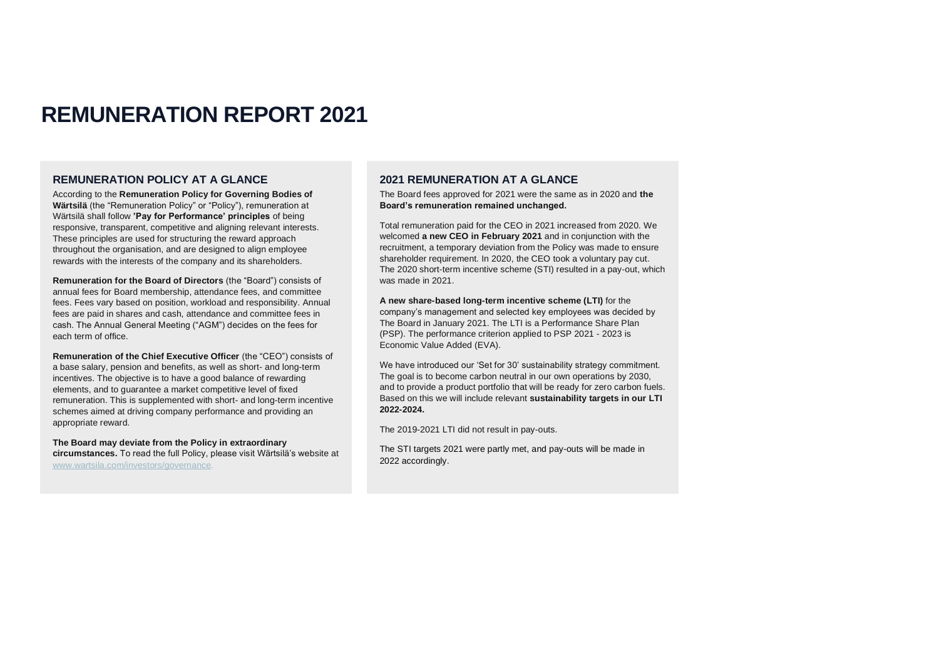# **REMUNERATION REPORT 2021**

## **REMUNERATION POLICY AT A GLANCE**

According to the **Remuneration Policy for Governing Bodies of Wärtsilä** (the "Remuneration Policy" or "Policy"), remuneration at Wärtsilä shall follow **'Pay for Performance' principles** of being responsive, transparent, competitive and aligning relevant interests. These principles are used for structuring the reward approach throughout the organisation, and are designed to align employee rewards with the interests of the company and its shareholders.

**Remuneration for the Board of Directors** (the "Board") consists of annual fees for Board membership, attendance fees, and committee fees. Fees vary based on position, workload and responsibility. Annual fees are paid in shares and cash, attendance and committee fees in cash. The Annual General Meeting ("AGM") decides on the fees for each term of office.

**Remuneration of the Chief Executive Officer** (the "CEO") consists of a base salary, pension and benefits, as well as short- and long-term incentives. The objective is to have a good balance of rewarding elements, and to guarantee a market competitive level of fixed remuneration. This is supplemented with short- and long-term incentive schemes aimed at driving company performance and providing an appropriate reward.

**The Board may deviate from the Policy in extraordinary circumstances.** To read the full Policy, please visit Wärtsilä's website at [www.wartsila.com/investors/governance.](http://www.wartsila.com/investors/governance)

## **2021 REMUNERATION AT A GLANCE**

The Board fees approved for 2021 were the same as in 2020 and **the Board's remuneration remained unchanged.** 

Total remuneration paid for the CEO in 2021 increased from 2020. We welcomed **a new CEO in February 2021** and in conjunction with the recruitment, a temporary deviation from the Policy was made to ensure shareholder requirement. In 2020, the CEO took a voluntary pay cut. The 2020 short-term incentive scheme (STI) resulted in a pay-out, which was made in 2021.

**A new share-based long-term incentive scheme (LTI)** for the company's management and selected key employees was decided by The Board in January 2021. The LTI is a Performance Share Plan (PSP). The performance criterion applied to PSP 2021 - 2023 is Economic Value Added (EVA).

We have introduced our 'Set for 30' sustainability strategy commitment. The goal is to become carbon neutral in our own operations by 2030, and to provide a product portfolio that will be ready for zero carbon fuels. Based on this we will include relevant **sustainability targets in our LTI 2022-2024.**

The 2019-2021 LTI did not result in pay-outs.

The STI targets 2021 were partly met, and pay-outs will be made in 2022 accordingly.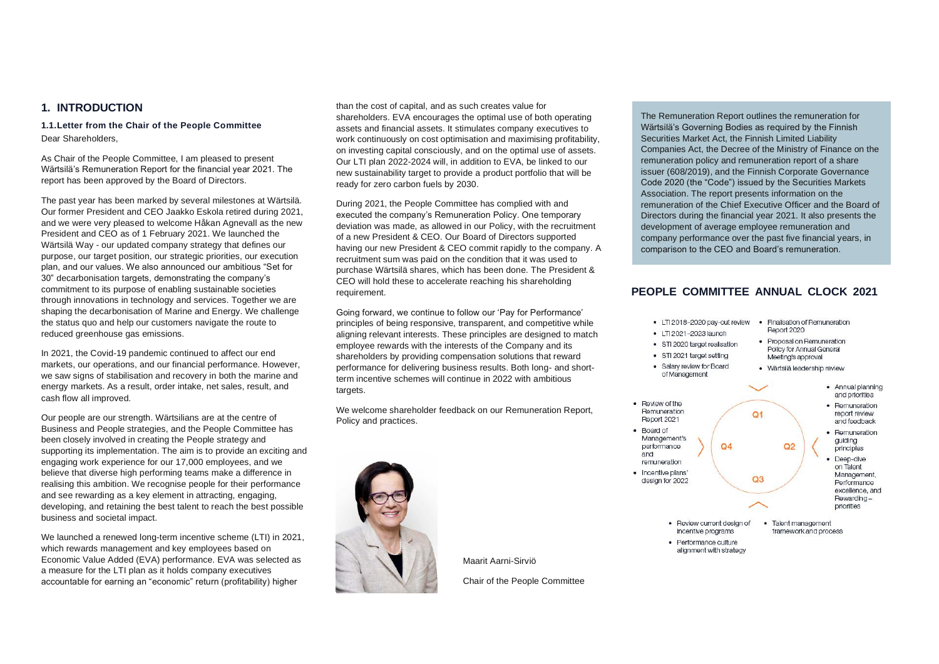## **1. INTRODUCTION**

**1.1.Letter from the Chair of the People Committee** Dear Shareholders,

As Chair of the People Committee, I am pleased to present Wärtsilä's Remuneration Report for the financial year 2021. The report has been approved by the Board of Directors.

The past year has been marked by several milestones at Wärtsilä. Our former President and CEO Jaakko Eskola retired during 2021, and we were very pleased to welcome Håkan Agnevall as the new President and CEO as of 1 February 2021. We launched the Wärtsilä Way - our updated company strategy that defines our purpose, our target position, our strategic priorities, our execution plan, and our values. We also announced our ambitious "Set for 30" decarbonisation targets, demonstrating the company's commitment to its purpose of enabling sustainable societies through innovations in technology and services. Together we are shaping the decarbonisation of Marine and Energy. We challenge the status quo and help our customers navigate the route to reduced greenhouse gas emissions.

In 2021, the Covid-19 pandemic continued to affect our end markets, our operations, and our financial performance. However, we saw signs of stabilisation and recovery in both the marine and energy markets. As a result, order intake, net sales, result, and cash flow all improved.

Our people are our strength. Wärtsilians are at the centre of Business and People strategies, and the People Committee has been closely involved in creating the People strategy and supporting its implementation. The aim is to provide an exciting and engaging work experience for our 17,000 employees, and we believe that diverse high performing teams make a difference in realising this ambition. We recognise people for their performance and see rewarding as a key element in attracting, engaging, developing, and retaining the best talent to reach the best possible business and societal impact.

We launched a renewed long-term incentive scheme (LTI) in 2021, which rewards management and key employees based on Economic Value Added (EVA) performance. EVA was selected as a measure for the LTI plan as it holds company executives accountable for earning an "economic" return (profitability) higher

than the cost of capital, and as such creates value for shareholders. EVA encourages the optimal use of both operating assets and financial assets. It stimulates company executives to work continuously on cost optimisation and maximising profitability, on investing capital consciously, and on the optimal use of assets. Our LTI plan 2022-2024 will, in addition to EVA, be linked to our new sustainability target to provide a product portfolio that will be ready for zero carbon fuels by 2030.

During 2021, the People Committee has complied with and executed the company's Remuneration Policy. One temporary deviation was made, as allowed in our Policy, with the recruitment of a new President & CEO. Our Board of Directors supported having our new President & CEO commit rapidly to the company. A recruitment sum was paid on the condition that it was used to purchase Wärtsilä shares, which has been done. The President & CEO will hold these to accelerate reaching his shareholding requirement.

Going forward, we continue to follow our 'Pay for Performance' principles of being responsive, transparent, and competitive while aligning relevant interests. These principles are designed to match employee rewards with the interests of the Company and its shareholders by providing compensation solutions that reward performance for delivering business results. Both long- and shortterm incentive schemes will continue in 2022 with ambitious targets.

We welcome shareholder feedback on our Remuneration Report, Policy and practices.



The Remuneration Report outlines the remuneration for Wärtsilä's Governing Bodies as required by the Finnish Securities Market Act, the Finnish Limited Liability Companies Act, the Decree of the Ministry of Finance on the remuneration policy and remuneration report of a share issuer (608/2019), and the Finnish Corporate Governance Code 2020 (the "Code") issued by the Securities Markets Association. The report presents information on the remuneration of the Chief Executive Officer and the Board of Directors during the financial year 2021. It also presents the development of average employee remuneration and company performance over the past five financial years, in comparison to the CEO and Board's remuneration.

# **PEOPLE COMMITTEE ANNUAL CLOCK 2021**



Maarit Aarni-Sirviö

Chair of the People Committee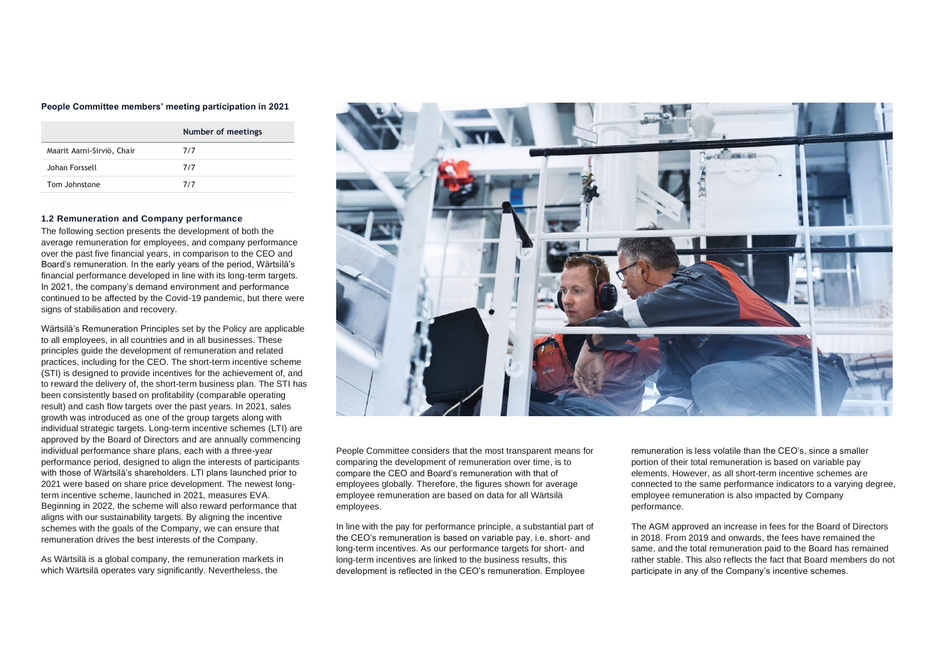#### **People Committee members' meeting participation in 2021**

|                            | Number of meetings |
|----------------------------|--------------------|
| Maarit Aarni-Sirviö, Chair | 7/7                |
| Johan Forssell             | 7/7                |
| Tom Johnstone              | 7/7                |

#### **1.2 Remuneration and Company performance**

The following section presents the development of both the average remuneration for employees, and company performance over the past five financial years, in comparison to the CEO and Board's remuneration. In the early years of the period, Wärtsilä's financial performance developed in line with its long-term targets. In 2021, the company's demand environment and performance continued to be affected by the Covid-19 pandemic, but there were signs of stabilisation and recovery.

Wärtsilä's Remuneration Principles set by the Policy are applicable to all employees, in all countries and in all businesses. These principles guide the development of remuneration and related practices, including for the CEO. The short-term incentive scheme (STI) is designed to provide incentives for the achievement of, and to reward the delivery of, the short-term business plan. The STI has been consistently based on profitability (comparable operating result) and cash flow targets over the past years. In 2021, sales growth was introduced as one of the group targets along with individual strategic targets. Long-term incentive schemes (LTI) are approved by the Board of Directors and are annually commencing individual performance share plans, each with a three-year performance period, designed to align the interests of participants with those of Wärtsilä's shareholders. LTI plans launched prior to 2021 were based on share price development. The newest longterm incentive scheme, launched in 2021, measures EVA. Beginning in 2022, the scheme will also reward performance that aligns with our sustainability targets. By aligning the incentive schemes with the goals of the Company, we can ensure that remuneration drives the best interests of the Company.

As Wärtsilä is a global company, the remuneration markets in which Wärtsilä operates vary significantly. Nevertheless, the



People Committee considers that the most transparent means for comparing the development of remuneration over time, is to compare the CEO and Board's remuneration with that of employees globally. Therefore, the figures shown for average employee remuneration are based on data for all Wärtsilä employees.

In line with the pay for performance principle, a substantial part of the CEO's remuneration is based on variable pay, i.e. short- and long-term incentives. As our performance targets for short- and long-term incentives are linked to the business results, this development is reflected in the CEO's remuneration. Employee

remuneration is less volatile than the CEO's, since a smaller portion of their total remuneration is based on variable pay elements. However, as all short-term incentive schemes are connected to the same performance indicators to a varying degree, employee remuneration is also impacted by Company performance.

The AGM approved an increase in fees for the Board of Directors in 2018. From 2019 and onwards, the fees have remained the same, and the total remuneration paid to the Board has remained rather stable. This also reflects the fact that Board members do not participate in any of the Company's incentive schemes.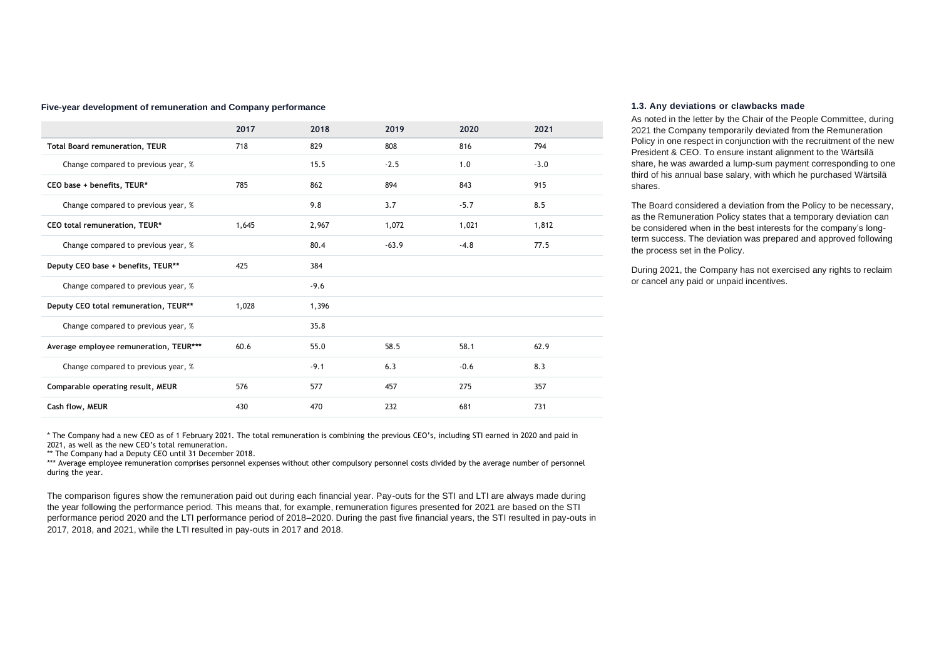#### **Five-year development of remuneration and Company performance**

|                                        | 2017  | 2018   | 2019    | 2020   | 2021   |
|----------------------------------------|-------|--------|---------|--------|--------|
| <b>Total Board remuneration, TEUR</b>  | 718   | 829    | 808     | 816    | 794    |
| Change compared to previous year, %    |       | 15.5   | $-2.5$  | 1.0    | $-3.0$ |
| CEO base + benefits, TEUR*             | 785   | 862    | 894     | 843    | 915    |
| Change compared to previous year, %    |       | 9.8    | 3.7     | $-5.7$ | 8.5    |
| CEO total remuneration, TEUR*          | 1,645 | 2,967  | 1,072   | 1,021  | 1,812  |
| Change compared to previous year, %    |       | 80.4   | $-63.9$ | $-4.8$ | 77.5   |
| Deputy CEO base + benefits, TEUR**     | 425   | 384    |         |        |        |
| Change compared to previous year, %    |       | $-9.6$ |         |        |        |
| Deputy CEO total remuneration, TEUR**  | 1,028 | 1,396  |         |        |        |
| Change compared to previous year, %    |       | 35.8   |         |        |        |
| Average employee remuneration, TEUR*** | 60.6  | 55.0   | 58.5    | 58.1   | 62.9   |
| Change compared to previous year, %    |       | $-9.1$ | 6.3     | $-0.6$ | 8.3    |
| Comparable operating result, MEUR      | 576   | 577    | 457     | 275    | 357    |
| Cash flow, MEUR                        | 430   | 470    | 232     | 681    | 731    |

\* The Company had a new CEO as of 1 February 2021. The total remuneration is combining the previous CEO's, including STI earned in 2020 and paid in 2021, as well as the new CEO's total remuneration.

\*\* The Company had a Deputy CEO until 31 December 2018.

\*\*\* Average employee remuneration comprises personnel expenses without other compulsory personnel costs divided by the average number of personnel during the year.

The comparison figures show the remuneration paid out during each financial year. Pay-outs for the STI and LTI are always made during the year following the performance period. This means that, for example, remuneration figures presented for 2021 are based on the STI performance period 2020 and the LTI performance period of 2018–2020. During the past five financial years, the STI resulted in pay-outs in 2017, 2018, and 2021, while the LTI resulted in pay-outs in 2017 and 2018.

#### **1.3. Any deviations or clawbacks made**

As noted in the letter by the Chair of the People Committee, during 2021 the Company temporarily deviated from the Remuneration Policy in one respect in conjunction with the recruitment of the new President & CEO. To ensure instant alignment to the Wärtsilä share, he was awarded a lump-sum payment corresponding to one third of his annual base salary, with which he purchased Wärtsilä shares.

The Board considered a deviation from the Policy to be necessary, as the Remuneration Policy states that a temporary deviation can be considered when in the best interests for the company's longterm success. The deviation was prepared and approved following the process set in the Policy.

During 2021, the Company has not exercised any rights to reclaim or cancel any paid or unpaid incentives.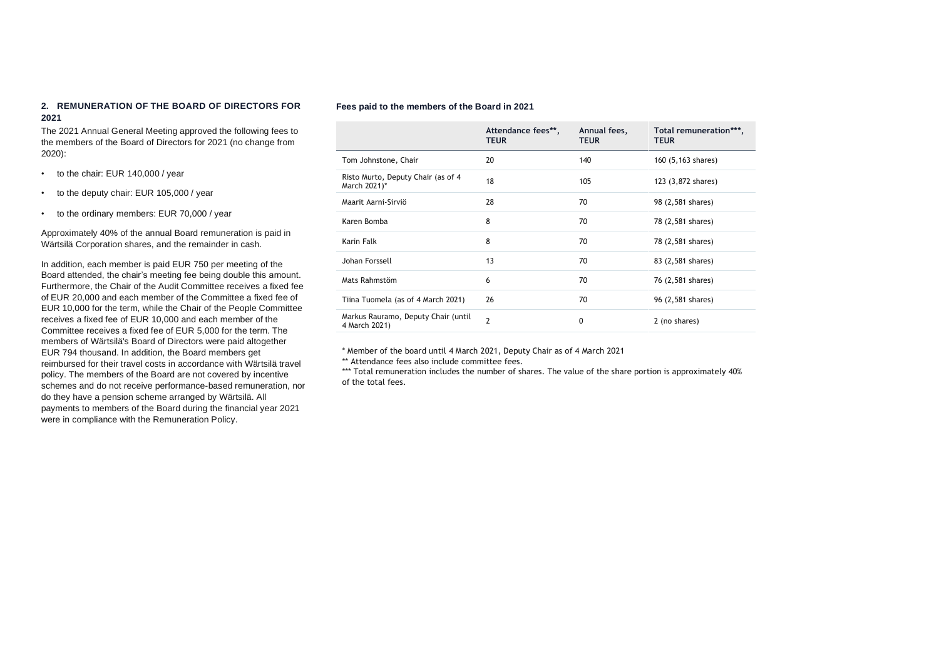## **2. REMUNERATION OF THE BOARD OF DIRECTORS FOR 2021**

The 2021 Annual General Meeting approved the following fees to the members of the Board of Directors for 2021 (no change from 2020):

- to the chair: EUR 140,000 / year
- to the deputy chair: EUR 105,000 / year
- to the ordinary members: EUR 70,000 / year

Approximately 40% of the annual Board remuneration is paid in Wärtsilä Corporation shares, and the remainder in cash.

In addition, each member is paid EUR 750 per meeting of the Board attended, the chair's meeting fee being double this amount. Furthermore, the Chair of the Audit Committee receives a fixed fee of EUR 20,000 and each member of the Committee a fixed fee of EUR 10,000 for the term, while the Chair of the People Committee receives a fixed fee of EUR 10,000 and each member of the Committee receives a fixed fee of EUR 5,000 for the term. The members of Wärtsilä's Board of Directors were paid altogether EUR 794 thousand. In addition, the Board members get reimbursed for their travel costs in accordance with Wärtsilä travel policy. The members of the Board are not covered by incentive schemes and do not receive performance-based remuneration, nor do they have a pension scheme arranged by Wärtsilä. All payments to members of the Board during the financial year 2021 were in compliance with the Remuneration Policy.

#### **Fees paid to the members of the Board in 2021**

|                                                      | Attendance fees**,<br><b>TEUR</b> | Annual fees,<br><b>TEUR</b> | Total remuneration***,<br><b>TEUR</b> |
|------------------------------------------------------|-----------------------------------|-----------------------------|---------------------------------------|
| Tom Johnstone, Chair                                 | 20                                | 140                         | 160 (5,163 shares)                    |
| Risto Murto, Deputy Chair (as of 4<br>March 2021)*   | 18                                | 105                         | 123 (3,872 shares)                    |
| Maarit Aarni-Sirviö                                  | 28                                | 70                          | 98 (2,581 shares)                     |
| Karen Bomba                                          | 8                                 | 70                          | 78 (2,581 shares)                     |
| Karin Falk                                           | 8                                 | 70                          | 78 (2,581 shares)                     |
| Johan Forssell                                       | 13                                | 70                          | 83 (2,581 shares)                     |
| Mats Rahmstöm                                        | 6                                 | 70                          | 76 (2,581 shares)                     |
| Tiina Tuomela (as of 4 March 2021)                   | 26                                | 70                          | 96 (2,581 shares)                     |
| Markus Rauramo, Deputy Chair (until<br>4 March 2021) | $\overline{2}$                    | $\Omega$                    | 2 (no shares)                         |

\* Member of the board until 4 March 2021, Deputy Chair as of 4 March 2021

\*\* Attendance fees also include committee fees.

\*\*\* Total remuneration includes the number of shares. The value of the share portion is approximately 40% of the total fees.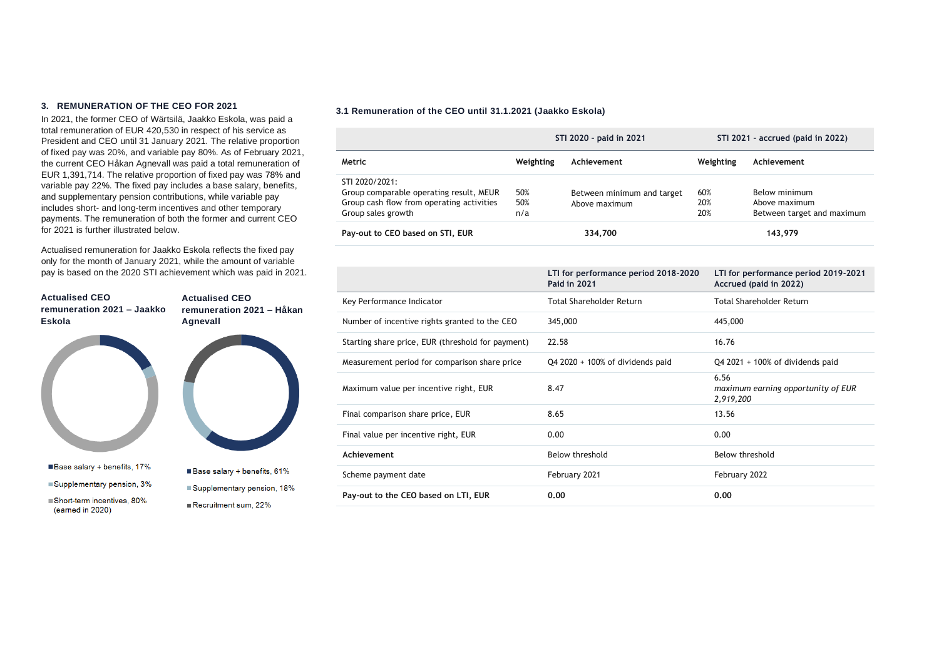#### **3. REMUNERATION OF THE CEO FOR 2021**

In 2021, the former CEO of Wärtsilä, Jaakko Eskola, was paid a total remuneration of EUR 420,530 in respect of his service as President and CEO until 31 January 2021. The relative proportion of fixed pay was 20%, and variable pay 80%. As of February 2021, the current CEO Håkan Agnevall was paid a total remuneration of EUR 1,391,714. The relative proportion of fixed pay was 78% and variable pay 22%. The fixed pay includes a base salary, benefits, and supplementary pension contributions, while variable pay includes short- and long-term incentives and other temporary payments. The remuneration of both the former and current CEO for 2021 is further illustrated below.

Actualised remuneration for Jaakko Eskola reflects the fixed pay only for the month of January 2021, while the amount of variable pay is based on the 2020 STI achievement which was paid in 2021.



### **3.1 Remuneration of the CEO until 31.1.2021 (Jaakko Eskola)**

|                                           | STI 2020 - paid in 2021 |                            | STI 2021 - accrued (paid in 2022) |                            |
|-------------------------------------------|-------------------------|----------------------------|-----------------------------------|----------------------------|
| Metric                                    | Weighting               | Achievement                | Weighting                         | Achievement                |
| STI 2020/2021:                            |                         |                            |                                   |                            |
| Group comparable operating result, MEUR   | 50%                     | Between minimum and target | 60%                               | Below minimum              |
| Group cash flow from operating activities | 50%                     | Above maximum              | 20%                               | Above maximum              |
| Group sales growth                        | n/a                     |                            | 20%                               | Between target and maximum |
| Pay-out to CEO based on STI, EUR          |                         | 334,700                    |                                   | 143,979                    |

|                                                   | LTI for performance period 2018-2020<br><b>Paid in 2021</b> | LTI for performance period 2019-2021<br>Accrued (paid in 2022) |
|---------------------------------------------------|-------------------------------------------------------------|----------------------------------------------------------------|
| Key Performance Indicator                         | Total Shareholder Return                                    | Total Shareholder Return                                       |
| Number of incentive rights granted to the CEO     | 345,000                                                     | 445,000                                                        |
| Starting share price, EUR (threshold for payment) | 22.58                                                       | 16.76                                                          |
| Measurement period for comparison share price     | $Q42020 + 100\%$ of dividends paid                          | $Q4$ 2021 + 100% of dividends paid                             |
| Maximum value per incentive right, EUR            | 8.47                                                        | 6.56<br>maximum earning opportunity of EUR<br>2,919,200        |
| Final comparison share price, EUR                 | 8.65                                                        | 13.56                                                          |
| Final value per incentive right, EUR              | 0.00                                                        | 0.00                                                           |
| Achievement                                       | Below threshold                                             | Below threshold                                                |
| Scheme payment date                               | February 2021                                               | February 2022                                                  |
| Pay-out to the CEO based on LTI, EUR              | 0.00                                                        | 0.00                                                           |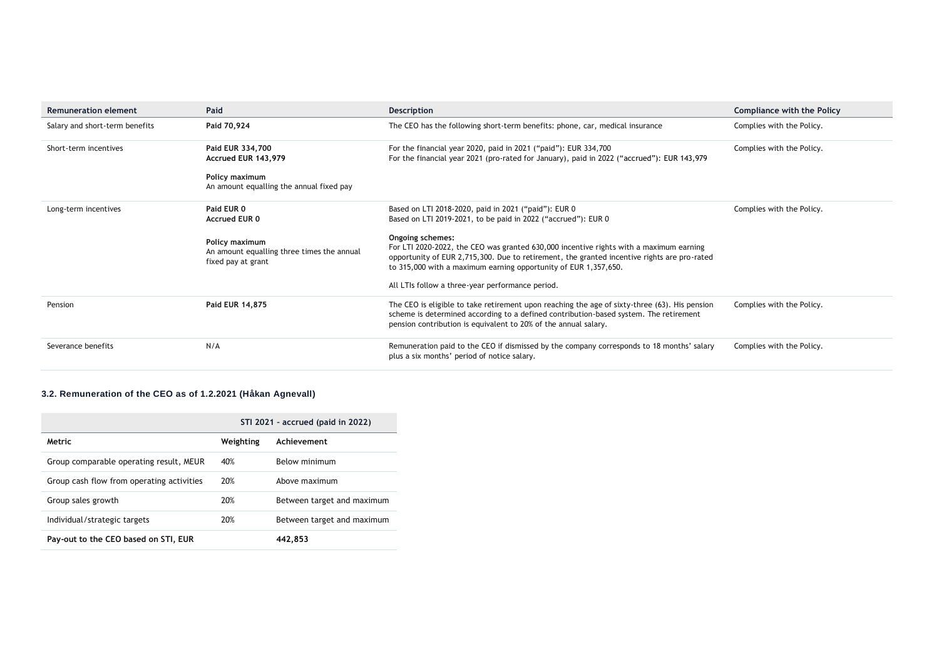| <b>Remuneration element</b>    | Paid                                                                               | Description                                                                                                                                                                                                                                                                  | Compliance with the Policy |
|--------------------------------|------------------------------------------------------------------------------------|------------------------------------------------------------------------------------------------------------------------------------------------------------------------------------------------------------------------------------------------------------------------------|----------------------------|
| Salary and short-term benefits | Paid 70,924                                                                        | The CEO has the following short-term benefits: phone, car, medical insurance                                                                                                                                                                                                 | Complies with the Policy.  |
| Short-term incentives          | Paid EUR 334,700<br>Accrued EUR 143,979                                            | For the financial year 2020, paid in 2021 ("paid"): EUR 334,700<br>For the financial year 2021 (pro-rated for January), paid in 2022 ("accrued"): EUR 143,979                                                                                                                | Complies with the Policy.  |
|                                | Policy maximum<br>An amount equalling the annual fixed pay                         |                                                                                                                                                                                                                                                                              |                            |
| Long-term incentives           | Paid EUR 0<br><b>Accrued EUR 0</b>                                                 | Based on LTI 2018-2020, paid in 2021 ("paid"): EUR 0<br>Based on LTI 2019-2021, to be paid in 2022 ("accrued"): EUR 0                                                                                                                                                        | Complies with the Policy.  |
|                                | Policy maximum<br>An amount equalling three times the annual<br>fixed pay at grant | Ongoing schemes:<br>For LTI 2020-2022, the CEO was granted 630,000 incentive rights with a maximum earning<br>opportunity of EUR 2,715,300. Due to retirement, the granted incentive rights are pro-rated<br>to 315,000 with a maximum earning opportunity of EUR 1,357,650. |                            |
|                                |                                                                                    | All LTIs follow a three-year performance period.                                                                                                                                                                                                                             |                            |
| Pension                        | Paid EUR 14,875                                                                    | The CEO is eligible to take retirement upon reaching the age of sixty-three (63). His pension<br>scheme is determined according to a defined contribution-based system. The retirement<br>pension contribution is equivalent to 20% of the annual salary.                    | Complies with the Policy.  |
| Severance benefits             | N/A                                                                                | Remuneration paid to the CEO if dismissed by the company corresponds to 18 months' salary<br>plus a six months' period of notice salary.                                                                                                                                     | Complies with the Policy.  |

# **3.2. Remuneration of the CEO as of 1.2.2021 (Håkan Agnevall)**

|                                           | STI 2021 - accrued (paid in 2022) |                            |  |
|-------------------------------------------|-----------------------------------|----------------------------|--|
| Metric                                    | Weighting                         | Achievement                |  |
| Group comparable operating result, MEUR   | 40%                               | Below minimum              |  |
| Group cash flow from operating activities | 20%                               | Above maximum              |  |
| Group sales growth                        | 20%                               | Between target and maximum |  |
| Individual/strategic targets              | 20%                               | Between target and maximum |  |
| Pay-out to the CEO based on STI, EUR      |                                   | 442.853                    |  |